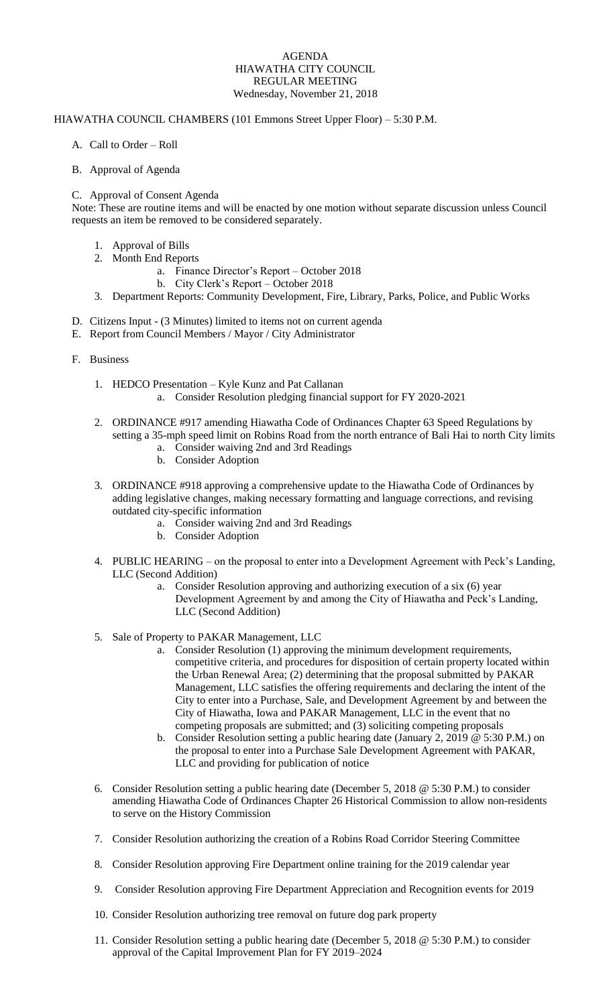## AGENDA HIAWATHA CITY COUNCIL REGULAR MEETING Wednesday, November 21, 2018

## HIAWATHA COUNCIL CHAMBERS (101 Emmons Street Upper Floor) – 5:30 P.M.

A. Call to Order – Roll

## B. Approval of Agenda

## C. Approval of Consent Agenda

Note: These are routine items and will be enacted by one motion without separate discussion unless Council requests an item be removed to be considered separately.

- 1. Approval of Bills
- 2. Month End Reports
	- a. Finance Director's Report October 2018
	- b. City Clerk's Report October 2018
- 3. Department Reports: Community Development, Fire, Library, Parks, Police, and Public Works
- D. Citizens Input (3 Minutes) limited to items not on current agenda
- E. Report from Council Members / Mayor / City Administrator
- F. Business
	- 1. HEDCO Presentation Kyle Kunz and Pat Callanan a. Consider Resolution pledging financial support for FY 2020-2021
	- 2. ORDINANCE #917 amending Hiawatha Code of Ordinances Chapter 63 Speed Regulations by setting a 35-mph speed limit on Robins Road from the north entrance of Bali Hai to north City limits
		- a. Consider waiving 2nd and 3rd Readings
		- b. Consider Adoption
	- 3. ORDINANCE #918 approving a comprehensive update to the Hiawatha Code of Ordinances by adding legislative changes, making necessary formatting and language corrections, and revising outdated city-specific information
		- a. Consider waiving 2nd and 3rd Readings
		- b. Consider Adoption
	- 4. PUBLIC HEARING on the proposal to enter into a Development Agreement with Peck's Landing, LLC (Second Addition)
		- a. Consider Resolution approving and authorizing execution of a six (6) year Development Agreement by and among the City of Hiawatha and Peck's Landing, LLC (Second Addition)
	- 5. Sale of Property to PAKAR Management, LLC
		- a. Consider Resolution (1) approving the minimum development requirements, competitive criteria, and procedures for disposition of certain property located within the Urban Renewal Area; (2) determining that the proposal submitted by PAKAR Management, LLC satisfies the offering requirements and declaring the intent of the City to enter into a Purchase, Sale, and Development Agreement by and between the City of Hiawatha, Iowa and PAKAR Management, LLC in the event that no competing proposals are submitted; and (3) soliciting competing proposals
		- b. Consider Resolution setting a public hearing date (January 2, 2019  $\omega$  5:30 P.M.) on the proposal to enter into a Purchase Sale Development Agreement with PAKAR, LLC and providing for publication of notice
	- 6. Consider Resolution setting a public hearing date (December 5, 2018 @ 5:30 P.M.) to consider amending Hiawatha Code of Ordinances Chapter 26 Historical Commission to allow non-residents to serve on the History Commission
	- 7. Consider Resolution authorizing the creation of a Robins Road Corridor Steering Committee
	- 8. Consider Resolution approving Fire Department online training for the 2019 calendar year
	- 9. Consider Resolution approving Fire Department Appreciation and Recognition events for 2019
	- 10. Consider Resolution authorizing tree removal on future dog park property
	- 11. Consider Resolution setting a public hearing date (December 5, 2018 @ 5:30 P.M.) to consider approval of the Capital Improvement Plan for FY 2019–2024